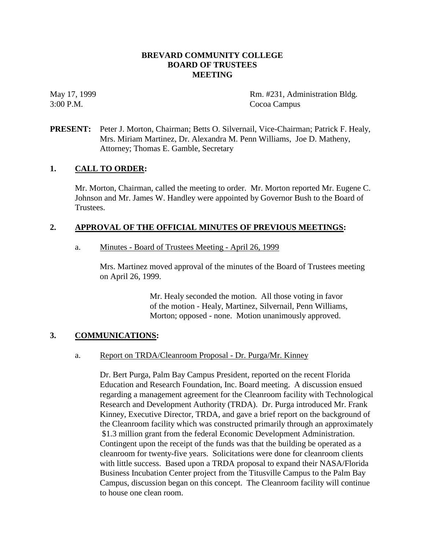## **BREVARD COMMUNITY COLLEGE BOARD OF TRUSTEES MEETING**

May 17, 1999 Rm. #231, Administration Bldg. 3:00 P.M. Cocoa Campus

# **PRESENT:** Peter J. Morton, Chairman; Betts O. Silvernail, Vice-Chairman; Patrick F. Healy, Mrs. Miriam Martinez, Dr. Alexandra M. Penn Williams, Joe D. Matheny, Attorney; Thomas E. Gamble, Secretary

## **1. CALL TO ORDER:**

Mr. Morton, Chairman, called the meeting to order. Mr. Morton reported Mr. Eugene C. Johnson and Mr. James W. Handley were appointed by Governor Bush to the Board of Trustees.

## **2. APPROVAL OF THE OFFICIAL MINUTES OF PREVIOUS MEETINGS:**

## a. Minutes - Board of Trustees Meeting - April 26, 1999

Mrs. Martinez moved approval of the minutes of the Board of Trustees meeting on April 26, 1999.

> Mr. Healy seconded the motion. All those voting in favor of the motion - Healy, Martinez, Silvernail, Penn Williams, Morton; opposed - none. Motion unanimously approved.

# **3. COMMUNICATIONS:**

## a. Report on TRDA/Cleanroom Proposal - Dr. Purga/Mr. Kinney

Dr. Bert Purga, Palm Bay Campus President, reported on the recent Florida Education and Research Foundation, Inc. Board meeting. A discussion ensued regarding a management agreement for the Cleanroom facility with Technological Research and Development Authority (TRDA). Dr. Purga introduced Mr. Frank Kinney, Executive Director, TRDA, and gave a brief report on the background of the Cleanroom facility which was constructed primarily through an approximately \$1.3 million grant from the federal Economic Development Administration. Contingent upon the receipt of the funds was that the building be operated as a cleanroom for twenty-five years. Solicitations were done for cleanroom clients with little success. Based upon a TRDA proposal to expand their NASA/Florida Business Incubation Center project from the Titusville Campus to the Palm Bay Campus, discussion began on this concept. The Cleanroom facility will continue to house one clean room.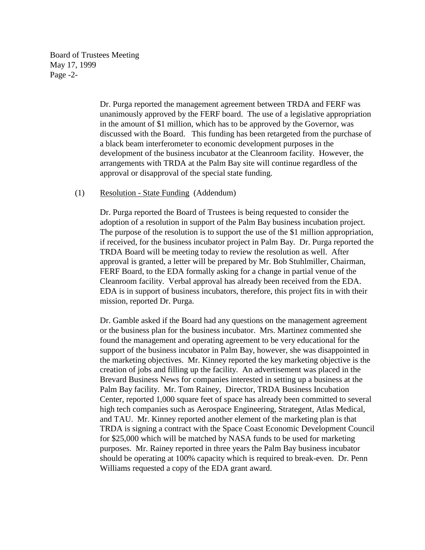Board of Trustees Meeting May 17, 1999 Page -2-

> Dr. Purga reported the management agreement between TRDA and FERF was unanimously approved by the FERF board. The use of a legislative appropriation in the amount of \$1 million, which has to be approved by the Governor, was discussed with the Board. This funding has been retargeted from the purchase of a black beam interferometer to economic development purposes in the development of the business incubator at the Cleanroom facility. However, the arrangements with TRDA at the Palm Bay site will continue regardless of the approval or disapproval of the special state funding.

#### (1) Resolution - State Funding (Addendum)

Dr. Purga reported the Board of Trustees is being requested to consider the adoption of a resolution in support of the Palm Bay business incubation project. The purpose of the resolution is to support the use of the \$1 million appropriation, if received, for the business incubator project in Palm Bay. Dr. Purga reported the TRDA Board will be meeting today to review the resolution as well. After approval is granted, a letter will be prepared by Mr. Bob Stuhlmiller, Chairman, FERF Board, to the EDA formally asking for a change in partial venue of the Cleanroom facility. Verbal approval has already been received from the EDA. EDA is in support of business incubators, therefore, this project fits in with their mission, reported Dr. Purga.

Dr. Gamble asked if the Board had any questions on the management agreement or the business plan for the business incubator. Mrs. Martinez commented she found the management and operating agreement to be very educational for the support of the business incubator in Palm Bay, however, she was disappointed in the marketing objectives. Mr. Kinney reported the key marketing objective is the creation of jobs and filling up the facility. An advertisement was placed in the Brevard Business News for companies interested in setting up a business at the Palm Bay facility. Mr. Tom Rainey, Director, TRDA Business Incubation Center, reported 1,000 square feet of space has already been committed to several high tech companies such as Aerospace Engineering, Strategent, Atlas Medical, and TAU. Mr. Kinney reported another element of the marketing plan is that TRDA is signing a contract with the Space Coast Economic Development Council for \$25,000 which will be matched by NASA funds to be used for marketing purposes. Mr. Rainey reported in three years the Palm Bay business incubator should be operating at 100% capacity which is required to break-even. Dr. Penn Williams requested a copy of the EDA grant award.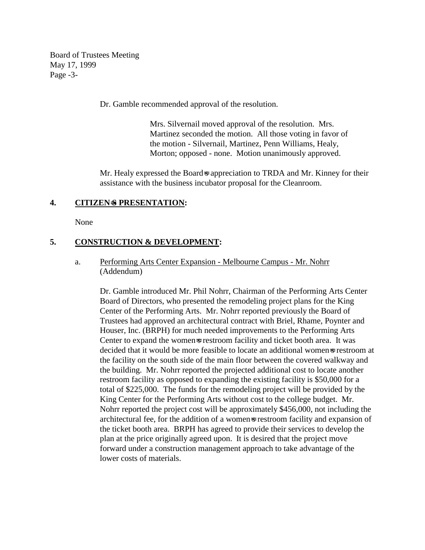Board of Trustees Meeting May 17, 1999 Page -3-

Dr. Gamble recommended approval of the resolution.

Mrs. Silvernail moved approval of the resolution. Mrs. Martinez seconded the motion. All those voting in favor of the motion - Silvernail, Martinez, Penn Williams, Healy, Morton; opposed - none. Motion unanimously approved.

Mr. Healy expressed the Board-s appreciation to TRDA and Mr. Kinney for their assistance with the business incubator proposal for the Cleanroom.

## **4. CITIZEN**=**S PRESENTATION:**

None

## **5. CONSTRUCTION & DEVELOPMENT:**

## a. Performing Arts Center Expansion - Melbourne Campus - Mr. Nohrr (Addendum)

Dr. Gamble introduced Mr. Phil Nohrr, Chairman of the Performing Arts Center Board of Directors, who presented the remodeling project plans for the King Center of the Performing Arts. Mr. Nohrr reported previously the Board of Trustees had approved an architectural contract with Briel, Rhame, Poynter and Houser, Inc. (BRPH) for much needed improvements to the Performing Arts Center to expand the women=s restroom facility and ticket booth area. It was decided that it would be more feasible to locate an additional womens restroom at the facility on the south side of the main floor between the covered walkway and the building. Mr. Nohrr reported the projected additional cost to locate another restroom facility as opposed to expanding the existing facility is \$50,000 for a total of \$225,000. The funds for the remodeling project will be provided by the King Center for the Performing Arts without cost to the college budget. Mr. Nohrr reported the project cost will be approximately \$456,000, not including the architectural fee, for the addition of a women=s restroom facility and expansion of the ticket booth area. BRPH has agreed to provide their services to develop the plan at the price originally agreed upon. It is desired that the project move forward under a construction management approach to take advantage of the lower costs of materials.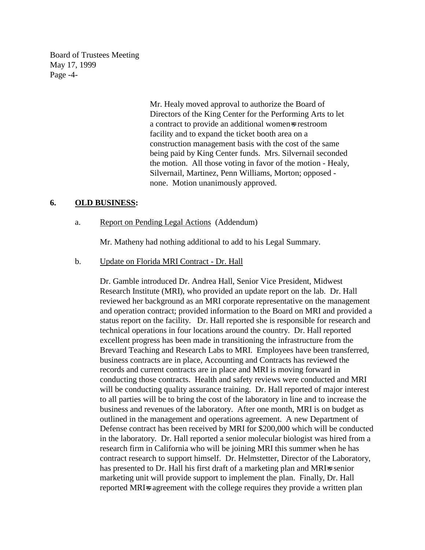Board of Trustees Meeting May 17, 1999 Page -4-

> Mr. Healy moved approval to authorize the Board of Directors of the King Center for the Performing Arts to let a contract to provide an additional women=s restroom facility and to expand the ticket booth area on a construction management basis with the cost of the same being paid by King Center funds. Mrs. Silvernail seconded the motion. All those voting in favor of the motion - Healy, Silvernail, Martinez, Penn Williams, Morton; opposed none. Motion unanimously approved.

#### **6. OLD BUSINESS:**

#### a. Report on Pending Legal Actions (Addendum)

Mr. Matheny had nothing additional to add to his Legal Summary.

#### b. Update on Florida MRI Contract - Dr. Hall

Dr. Gamble introduced Dr. Andrea Hall, Senior Vice President, Midwest Research Institute (MRI), who provided an update report on the lab. Dr. Hall reviewed her background as an MRI corporate representative on the management and operation contract; provided information to the Board on MRI and provided a status report on the facility. Dr. Hall reported she is responsible for research and technical operations in four locations around the country. Dr. Hall reported excellent progress has been made in transitioning the infrastructure from the Brevard Teaching and Research Labs to MRI. Employees have been transferred, business contracts are in place, Accounting and Contracts has reviewed the records and current contracts are in place and MRI is moving forward in conducting those contracts. Health and safety reviews were conducted and MRI will be conducting quality assurance training. Dr. Hall reported of major interest to all parties will be to bring the cost of the laboratory in line and to increase the business and revenues of the laboratory. After one month, MRI is on budget as outlined in the management and operations agreement. A new Department of Defense contract has been received by MRI for \$200,000 which will be conducted in the laboratory. Dr. Hall reported a senior molecular biologist was hired from a research firm in California who will be joining MRI this summer when he has contract research to support himself. Dr. Helmstetter, Director of the Laboratory, has presented to Dr. Hall his first draft of a marketing plan and MRIs senior marketing unit will provide support to implement the plan. Finally, Dr. Hall reported MRI=s agreement with the college requires they provide a written plan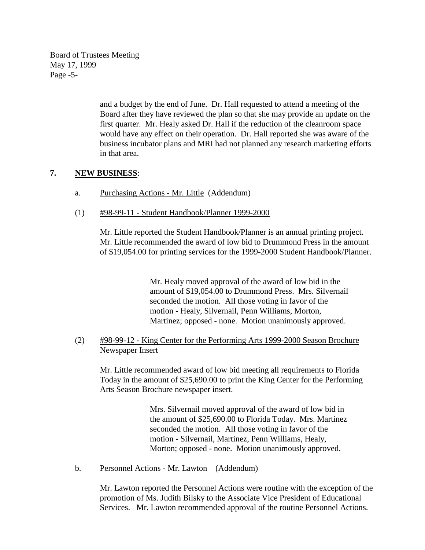Board of Trustees Meeting May 17, 1999 Page -5-

> and a budget by the end of June. Dr. Hall requested to attend a meeting of the Board after they have reviewed the plan so that she may provide an update on the first quarter. Mr. Healy asked Dr. Hall if the reduction of the cleanroom space would have any effect on their operation. Dr. Hall reported she was aware of the business incubator plans and MRI had not planned any research marketing efforts in that area.

# **7. NEW BUSINESS**:

- a. Purchasing Actions Mr. Little (Addendum)
- (1) #98-99-11 Student Handbook/Planner 1999-2000

Mr. Little reported the Student Handbook/Planner is an annual printing project. Mr. Little recommended the award of low bid to Drummond Press in the amount of \$19,054.00 for printing services for the 1999-2000 Student Handbook/Planner.

> Mr. Healy moved approval of the award of low bid in the amount of \$19,054.00 to Drummond Press. Mrs. Silvernail seconded the motion. All those voting in favor of the motion - Healy, Silvernail, Penn Williams, Morton, Martinez; opposed - none. Motion unanimously approved.

# (2) #98-99-12 - King Center for the Performing Arts 1999-2000 Season Brochure Newspaper Insert

Mr. Little recommended award of low bid meeting all requirements to Florida Today in the amount of \$25,690.00 to print the King Center for the Performing Arts Season Brochure newspaper insert.

> Mrs. Silvernail moved approval of the award of low bid in the amount of \$25,690.00 to Florida Today. Mrs. Martinez seconded the motion. All those voting in favor of the motion - Silvernail, Martinez, Penn Williams, Healy, Morton; opposed - none. Motion unanimously approved.

b. Personnel Actions - Mr. Lawton (Addendum)

Mr. Lawton reported the Personnel Actions were routine with the exception of the promotion of Ms. Judith Bilsky to the Associate Vice President of Educational Services. Mr. Lawton recommended approval of the routine Personnel Actions.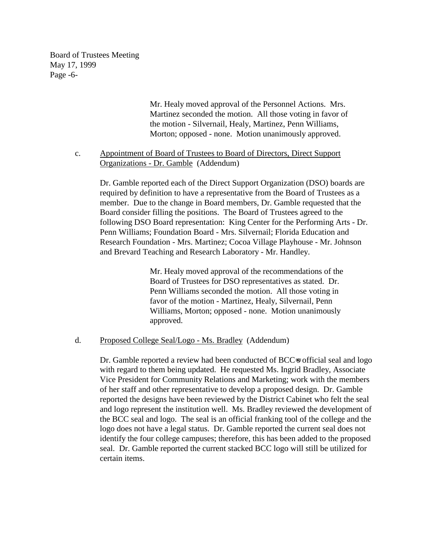Board of Trustees Meeting May 17, 1999 Page -6-

> Mr. Healy moved approval of the Personnel Actions. Mrs. Martinez seconded the motion. All those voting in favor of the motion - Silvernail, Healy, Martinez, Penn Williams, Morton; opposed - none. Motion unanimously approved.

c. Appointment of Board of Trustees to Board of Directors, Direct Support Organizations - Dr. Gamble (Addendum)

Dr. Gamble reported each of the Direct Support Organization (DSO) boards are required by definition to have a representative from the Board of Trustees as a member. Due to the change in Board members, Dr. Gamble requested that the Board consider filling the positions. The Board of Trustees agreed to the following DSO Board representation: King Center for the Performing Arts - Dr. Penn Williams; Foundation Board - Mrs. Silvernail; Florida Education and Research Foundation - Mrs. Martinez; Cocoa Village Playhouse - Mr. Johnson and Brevard Teaching and Research Laboratory - Mr. Handley.

> Mr. Healy moved approval of the recommendations of the Board of Trustees for DSO representatives as stated. Dr. Penn Williams seconded the motion. All those voting in favor of the motion - Martinez, Healy, Silvernail, Penn Williams, Morton; opposed - none. Motion unanimously approved.

#### d. Proposed College Seal/Logo - Ms. Bradley (Addendum)

Dr. Gamble reported a review had been conducted of BCC⇒s official seal and logo with regard to them being updated. He requested Ms. Ingrid Bradley, Associate Vice President for Community Relations and Marketing; work with the members of her staff and other representative to develop a proposed design. Dr. Gamble reported the designs have been reviewed by the District Cabinet who felt the seal and logo represent the institution well. Ms. Bradley reviewed the development of the BCC seal and logo. The seal is an official franking tool of the college and the logo does not have a legal status. Dr. Gamble reported the current seal does not identify the four college campuses; therefore, this has been added to the proposed seal. Dr. Gamble reported the current stacked BCC logo will still be utilized for certain items.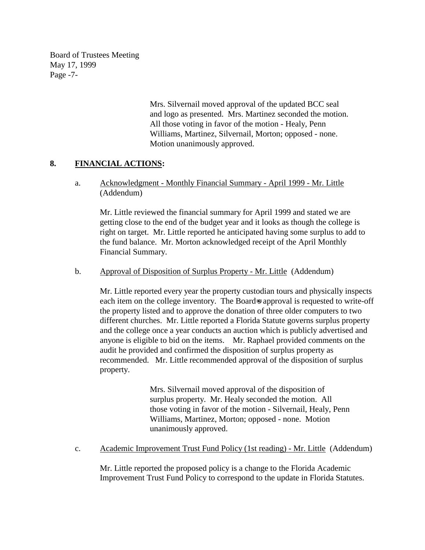Board of Trustees Meeting May 17, 1999 Page -7-

> Mrs. Silvernail moved approval of the updated BCC seal and logo as presented. Mrs. Martinez seconded the motion. All those voting in favor of the motion - Healy, Penn Williams, Martinez, Silvernail, Morton; opposed - none. Motion unanimously approved.

# **8. FINANCIAL ACTIONS:**

a. Acknowledgment - Monthly Financial Summary - April 1999 - Mr. Little (Addendum)

Mr. Little reviewed the financial summary for April 1999 and stated we are getting close to the end of the budget year and it looks as though the college is right on target. Mr. Little reported he anticipated having some surplus to add to the fund balance. Mr. Morton acknowledged receipt of the April Monthly Financial Summary.

#### b. Approval of Disposition of Surplus Property - Mr. Little (Addendum)

Mr. Little reported every year the property custodian tours and physically inspects each item on the college inventory. The Board-s approval is requested to write-off the property listed and to approve the donation of three older computers to two different churches. Mr. Little reported a Florida Statute governs surplus property and the college once a year conducts an auction which is publicly advertised and anyone is eligible to bid on the items. Mr. Raphael provided comments on the audit he provided and confirmed the disposition of surplus property as recommended. Mr. Little recommended approval of the disposition of surplus property.

> Mrs. Silvernail moved approval of the disposition of surplus property. Mr. Healy seconded the motion. All those voting in favor of the motion - Silvernail, Healy, Penn Williams, Martinez, Morton; opposed - none. Motion unanimously approved.

c. Academic Improvement Trust Fund Policy (1st reading) - Mr. Little (Addendum)

Mr. Little reported the proposed policy is a change to the Florida Academic Improvement Trust Fund Policy to correspond to the update in Florida Statutes.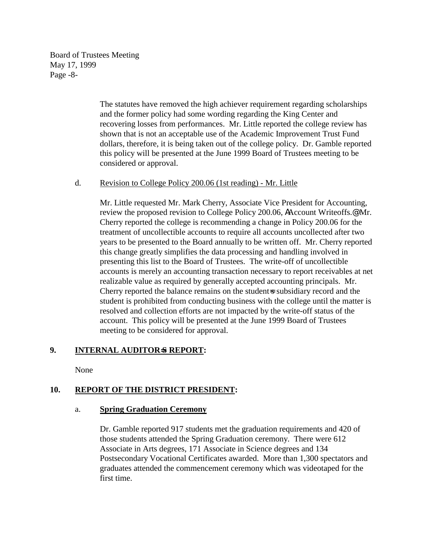Board of Trustees Meeting May 17, 1999 Page -8-

> The statutes have removed the high achiever requirement regarding scholarships and the former policy had some wording regarding the King Center and recovering losses from performances. Mr. Little reported the college review has shown that is not an acceptable use of the Academic Improvement Trust Fund dollars, therefore, it is being taken out of the college policy. Dr. Gamble reported this policy will be presented at the June 1999 Board of Trustees meeting to be considered or approval.

## d. Revision to College Policy 200.06 (1st reading) - Mr. Little

Mr. Little requested Mr. Mark Cherry, Associate Vice President for Accounting, review the proposed revision to College Policy 200.06, AAccount Writeoffs.@ Mr. Cherry reported the college is recommending a change in Policy 200.06 for the treatment of uncollectible accounts to require all accounts uncollected after two years to be presented to the Board annually to be written off. Mr. Cherry reported this change greatly simplifies the data processing and handling involved in presenting this list to the Board of Trustees. The write-off of uncollectible accounts is merely an accounting transaction necessary to report receivables at net realizable value as required by generally accepted accounting principals. Mr. Cherry reported the balance remains on the student=s subsidiary record and the student is prohibited from conducting business with the college until the matter is resolved and collection efforts are not impacted by the write-off status of the account. This policy will be presented at the June 1999 Board of Trustees meeting to be considered for approval.

# **9.** INTERNAL AUDITOR<del>S</del> REPORT:

None

# **10. REPORT OF THE DISTRICT PRESIDENT:**

## a. **Spring Graduation Ceremony**

Dr. Gamble reported 917 students met the graduation requirements and 420 of those students attended the Spring Graduation ceremony. There were 612 Associate in Arts degrees, 171 Associate in Science degrees and 134 Postsecondary Vocational Certificates awarded. More than 1,300 spectators and graduates attended the commencement ceremony which was videotaped for the first time.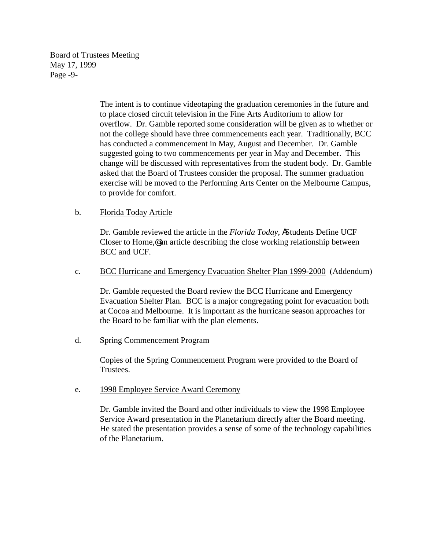Board of Trustees Meeting May 17, 1999 Page -9-

> The intent is to continue videotaping the graduation ceremonies in the future and to place closed circuit television in the Fine Arts Auditorium to allow for overflow. Dr. Gamble reported some consideration will be given as to whether or not the college should have three commencements each year. Traditionally, BCC has conducted a commencement in May, August and December. Dr. Gamble suggested going to two commencements per year in May and December. This change will be discussed with representatives from the student body. Dr. Gamble asked that the Board of Trustees consider the proposal. The summer graduation exercise will be moved to the Performing Arts Center on the Melbourne Campus, to provide for comfort.

## b. Florida Today Article

Dr. Gamble reviewed the article in the *Florida Today*, AStudents Define UCF Closer to Home,@ an article describing the close working relationship between BCC and UCF.

c. BCC Hurricane and Emergency Evacuation Shelter Plan 1999-2000 (Addendum)

Dr. Gamble requested the Board review the BCC Hurricane and Emergency Evacuation Shelter Plan. BCC is a major congregating point for evacuation both at Cocoa and Melbourne. It is important as the hurricane season approaches for the Board to be familiar with the plan elements.

d. Spring Commencement Program

Copies of the Spring Commencement Program were provided to the Board of Trustees.

## e. 1998 Employee Service Award Ceremony

Dr. Gamble invited the Board and other individuals to view the 1998 Employee Service Award presentation in the Planetarium directly after the Board meeting. He stated the presentation provides a sense of some of the technology capabilities of the Planetarium.